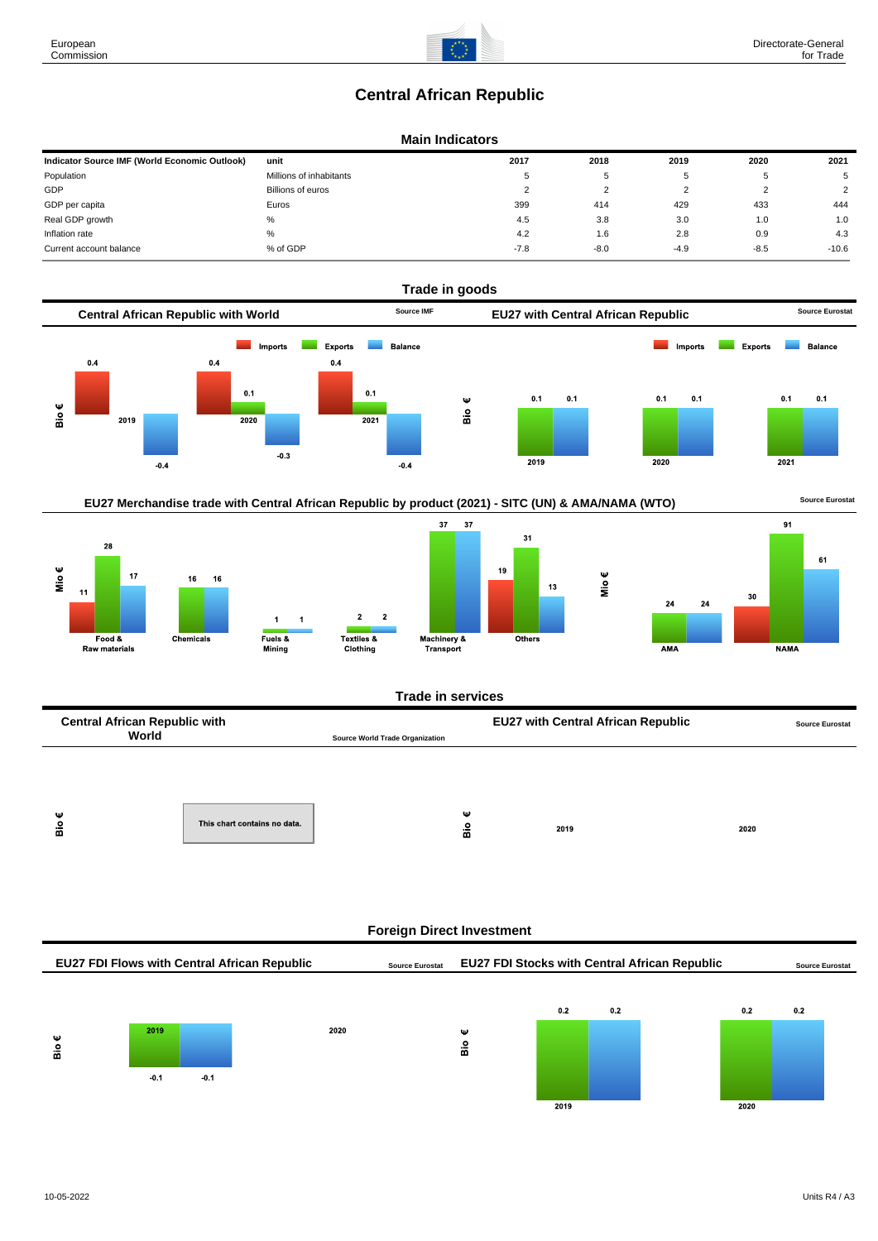# **Central African Republic**

### **Main Indicators**

| Indicator Source IMF (World Economic Outlook) | unit                    | 2017        | 2018   | 2019   | 2020   | 2021           |
|-----------------------------------------------|-------------------------|-------------|--------|--------|--------|----------------|
| Population                                    | Millions of inhabitants | $\mathbf b$ | 5      |        | 5      | 5              |
| GDP                                           | Billions of euros       |             |        |        |        | $\overline{2}$ |
| GDP per capita                                | Euros                   | 399         | 414    | 429    | 433    | 444            |
| Real GDP growth                               | %                       | 4.5         | 3.8    | 3.0    | 1.0    | 1.0            |
| Inflation rate                                | %                       | 4.2         | 1.6    | 2.8    | 0.9    | 4.3            |
| Current account balance                       | % of GDP                | $-7.8$      | $-8.0$ | $-4.9$ | $-8.5$ | $-10.6$        |







 $\frac{6}{10}$ 

2019

|        |        |        | EU27 FDI Flows with Central African Republic | <b>Source Eurostat</b> |   | <b>EU27 FDI Stocks with Central African Republic</b> |     |      | <b>Source Eurostat</b> |
|--------|--------|--------|----------------------------------------------|------------------------|---|------------------------------------------------------|-----|------|------------------------|
|        |        |        |                                              |                        |   |                                                      |     |      |                        |
|        |        |        |                                              |                        |   | 0.2                                                  | 0.2 | 0.2  | 0.2                    |
|        | 2019   |        | 2020                                         |                        | Ψ |                                                      |     |      |                        |
| Ψ<br>å |        |        |                                              |                        | å |                                                      |     |      |                        |
|        |        |        |                                              |                        |   |                                                      |     |      |                        |
|        | $-0.1$ | $-0.1$ |                                              |                        |   |                                                      |     |      |                        |
|        |        |        |                                              |                        |   | 2019                                                 |     | 2020 |                        |

2020